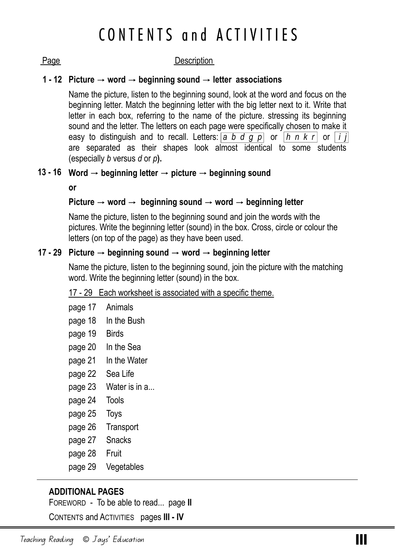# CONTENTS and ACTIVITIES

### Page Description

### **Picture** → **word** → **beginning sound** → **letter associations 1 - 12**

Name the picture, listen to the beginning sound, look at the word and focus on the beginning letter. Match the beginning letter with the big letter next to it. Write that letter in each box, referring to the name of the picture. stressing its beginning sound and the letter. The letters on each page were specifically chosen to make it easy to distinguish and to recall. Letters:  $\boxed{a \ b \ d \ g \ p}$  or  $\boxed{h \ n \ k \ r}$  or  $\boxed{i \ j}$ are separated as their shapes look almost identical to some students (especially *b* versus *d* or *p***).** 

### **Word** → **beginning letter** → **picture** → **beginning sound 13 - 16**

**or** 

### **Picture** → **word** → **beginning sound** → **word** → **beginning letter**

Name the picture, listen to the beginning sound and join the words with the pictures. Write the beginning letter (sound) in the box. Cross, circle or colour the letters (on top of the page) as they have been used.

### **Picture** → **beginning sound** → **word** → **beginning letter 17 - 29**

Name the picture, listen to the beginning sound, join the picture with the matching word. Write the beginning letter (sound) in the box.

### 17 - 29 Each worksheet is associated with a specific theme.

- page 17 Animals
- page 18 In the Bush
- page 19 Birds
- page 20 In the Sea
- page 21 In the Water
- page 22 Sea Life
- page 23 Water is in a...
- page 24 Tools
- page 25 Toys
- page 26 Transport
- page 27 Snacks
- page 28 Fruit
- page 29 Vegetables

## **ADDITIONAL PAGES**

FOREWORD - To be able to read... page **II**

CONTENTS and ACTIVITIES pages **III - IV**